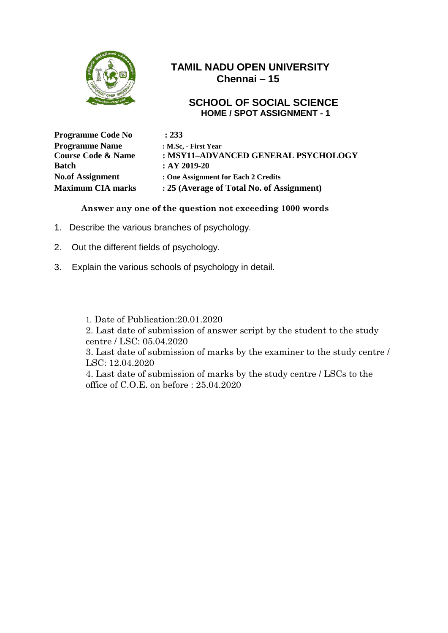

#### **SCHOOL OF SOCIAL SCIENCE HOME / SPOT ASSIGNMENT - 1**

| <b>Programme Code No</b>      | : 233                                     |
|-------------------------------|-------------------------------------------|
| <b>Programme Name</b>         | : M.Sc. - First Year                      |
| <b>Course Code &amp; Name</b> | : MSY11-ADVANCED GENERAL PSYCHOLOGY       |
| <b>Batch</b>                  | $:AY 2019-20$                             |
| <b>No.of Assignment</b>       | : One Assignment for Each 2 Credits       |
| <b>Maximum CIA marks</b>      | : 25 (Average of Total No. of Assignment) |

**Answer any one of the question not exceeding 1000 words**

- 1. Describe the various branches of psychology.
- 2. Out the different fields of psychology.
- 3. Explain the various schools of psychology in detail.

1. Date of Publication:20.01.2020

2. Last date of submission of answer script by the student to the study centre / LSC: 05.04.2020

3. Last date of submission of marks by the examiner to the study centre / LSC: 12.04.2020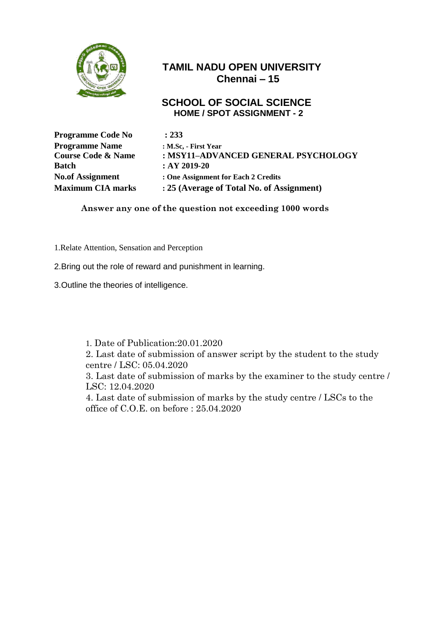

#### **SCHOOL OF SOCIAL SCIENCE HOME / SPOT ASSIGNMENT - 2**

| <b>Programme Code No</b>      | : 233                                     |
|-------------------------------|-------------------------------------------|
| <b>Programme Name</b>         | : M.Sc. - First Year                      |
| <b>Course Code &amp; Name</b> | : MSY11-ADVANCED GENERAL PSYCHOLOGY       |
| <b>Batch</b>                  | $:AY 2019-20$                             |
| <b>No.of Assignment</b>       | : One Assignment for Each 2 Credits       |
| <b>Maximum CIA marks</b>      | : 25 (Average of Total No. of Assignment) |

**Answer any one of the question not exceeding 1000 words**

- 1.Relate Attention, Sensation and Perception
- 2.Bring out the role of reward and punishment in learning.
- 3.Outline the theories of intelligence.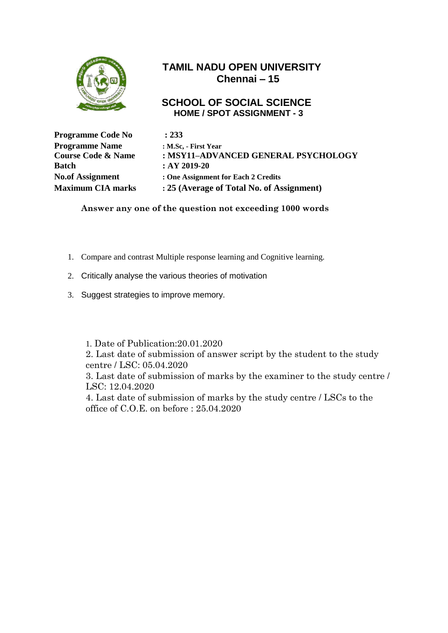

#### **SCHOOL OF SOCIAL SCIENCE HOME / SPOT ASSIGNMENT - 3**

| <b>Programme Code No</b>      | : 233                                     |
|-------------------------------|-------------------------------------------|
| <b>Programme Name</b>         | : M.Sc. - First Year                      |
| <b>Course Code &amp; Name</b> | : MSY11-ADVANCED GENERAL PSYCHOLOGY       |
| <b>Batch</b>                  | $:AY 2019-20$                             |
| <b>No.of Assignment</b>       | : One Assignment for Each 2 Credits       |
| <b>Maximum CIA marks</b>      | : 25 (Average of Total No. of Assignment) |

**Answer any one of the question not exceeding 1000 words**

- 1. Compare and contrast Multiple response learning and Cognitive learning.
- 2. Critically analyse the various theories of motivation
- 3. Suggest strategies to improve memory.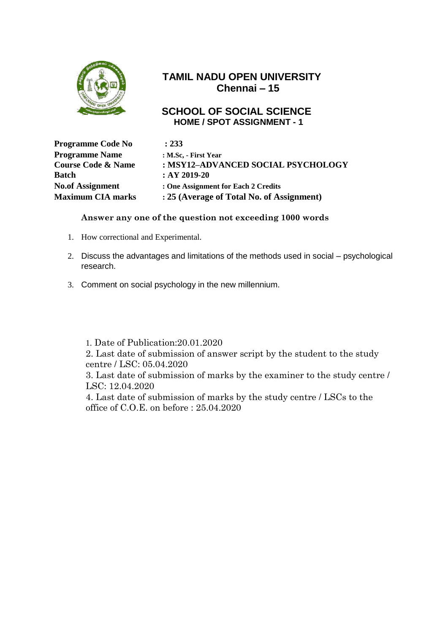

#### **SCHOOL OF SOCIAL SCIENCE HOME / SPOT ASSIGNMENT - 1**

| <b>Programme Code No</b>      | : 233                                     |
|-------------------------------|-------------------------------------------|
| <b>Programme Name</b>         | : M.Sc. - First Year                      |
| <b>Course Code &amp; Name</b> | : MSY12-ADVANCED SOCIAL PSYCHOLOGY        |
| <b>Batch</b>                  | $:AY 2019-20$                             |
| <b>No.of Assignment</b>       | : One Assignment for Each 2 Credits       |
| <b>Maximum CIA marks</b>      | : 25 (Average of Total No. of Assignment) |

#### **Answer any one of the question not exceeding 1000 words**

- 1. How correctional and Experimental.
- 2. Discuss the advantages and limitations of the methods used in social psychological research.
- 3. Comment on social psychology in the new millennium.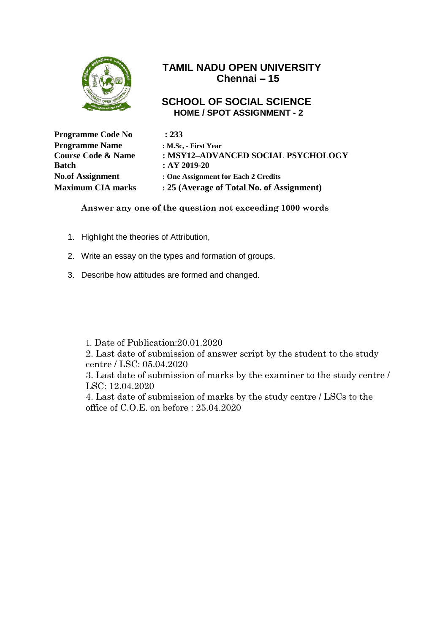

#### **SCHOOL OF SOCIAL SCIENCE HOME / SPOT ASSIGNMENT - 2**

| : 233                                     |
|-------------------------------------------|
| : M.Sc, - First Year                      |
| : MSY12-ADVANCED SOCIAL PSYCHOLOGY        |
| $:AY 2019-20$                             |
| : One Assignment for Each 2 Credits       |
| : 25 (Average of Total No. of Assignment) |
|                                           |

#### **Answer any one of the question not exceeding 1000 words**

- 1. Highlight the theories of Attribution,
- 2. Write an essay on the types and formation of groups.
- 3. Describe how attitudes are formed and changed.

1. Date of Publication:20.01.2020

2. Last date of submission of answer script by the student to the study centre / LSC: 05.04.2020

3. Last date of submission of marks by the examiner to the study centre / LSC: 12.04.2020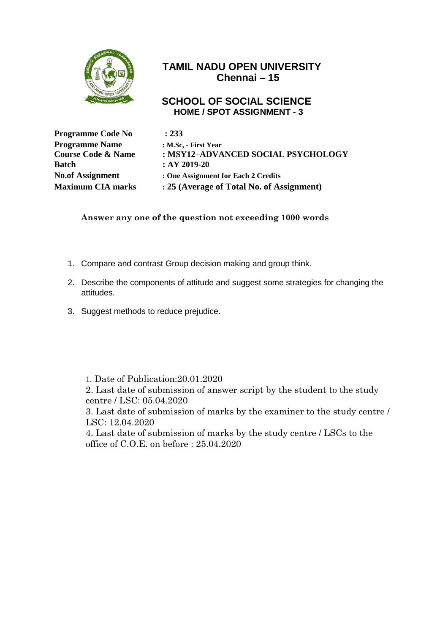

#### **SCHOOL OF SOCIAL SCIENCE HOME / SPOT ASSIGNMENT - 3**

| : 233                                     |
|-------------------------------------------|
| : M.Sc. - First Year                      |
| : MSY12-ADVANCED SOCIAL PSYCHOLOGY        |
| $:AY 2019-20$                             |
| : One Assignment for Each 2 Credits       |
| : 25 (Average of Total No. of Assignment) |
|                                           |

**Answer any one of the question not exceeding 1000 words**

- 1. Compare and contrast Group decision making and group think.
- 2. Describe the components of attitude and suggest some strategies for changing the attitudes.
- 3. Suggest methods to reduce prejudice.

1. Date of Publication:20.01.2020

2. Last date of submission of answer script by the student to the study centre / LSC: 05.04.2020

3. Last date of submission of marks by the examiner to the study centre / LSC: 12.04.2020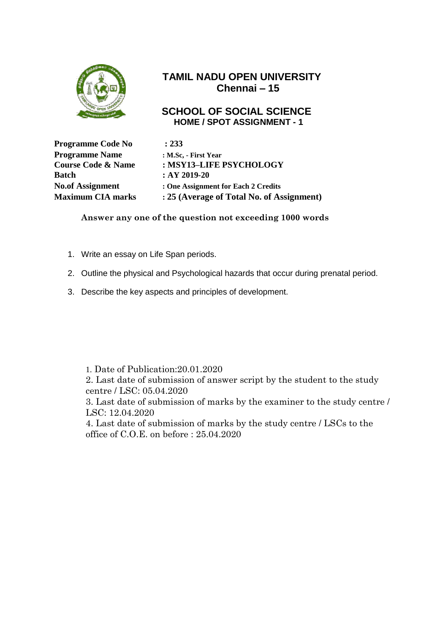

#### **SCHOOL OF SOCIAL SCIENCE HOME / SPOT ASSIGNMENT - 1**

| <b>Programme Code No</b>      | : 233                                     |
|-------------------------------|-------------------------------------------|
| <b>Programme Name</b>         | : M.Sc. - First Year                      |
| <b>Course Code &amp; Name</b> | : MSY13-LIFE PSYCHOLOGY                   |
| <b>Batch</b>                  | $:AY 2019-20$                             |
| <b>No.of Assignment</b>       | : One Assignment for Each 2 Credits       |
| <b>Maximum CIA marks</b>      | : 25 (Average of Total No. of Assignment) |

**Answer any one of the question not exceeding 1000 words**

- 1. Write an essay on Life Span periods.
- 2. Outline the physical and Psychological hazards that occur during prenatal period.
- 3. Describe the key aspects and principles of development.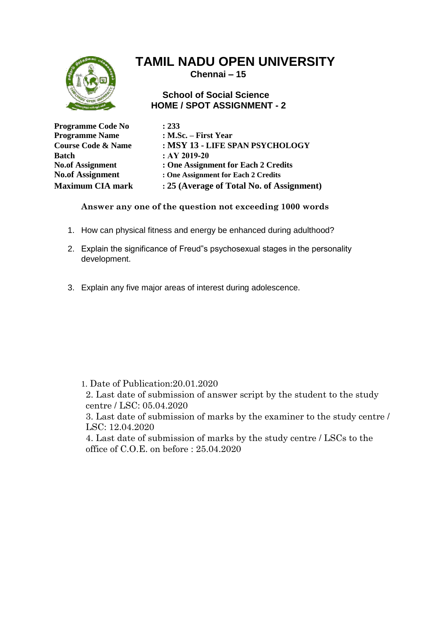

**Chennai – 15**

#### **School of Social Science HOME / SPOT ASSIGNMENT - 2**

| <b>Programme Code No</b>      | : 233                                     |
|-------------------------------|-------------------------------------------|
| <b>Programme Name</b>         | : M.Sc. $-$ First Year                    |
| <b>Course Code &amp; Name</b> | : MSY 13 - LIFE SPAN PSYCHOLOGY           |
| Batch                         | $:AY 2019-20$                             |
| <b>No.of Assignment</b>       | : One Assignment for Each 2 Credits       |
| <b>No.of Assignment</b>       | : One Assignment for Each 2 Credits       |
| <b>Maximum CIA mark</b>       | : 25 (Average of Total No. of Assignment) |

**Answer any one of the question not exceeding 1000 words**

- 1. How can physical fitness and energy be enhanced during adulthood?
- 2. Explain the significance of Freud"s psychosexual stages in the personality development.
- 3. Explain any five major areas of interest during adolescence.

1. Date of Publication:20.01.2020

2. Last date of submission of answer script by the student to the study centre / LSC: 05.04.2020

3. Last date of submission of marks by the examiner to the study centre / LSC: 12.04.2020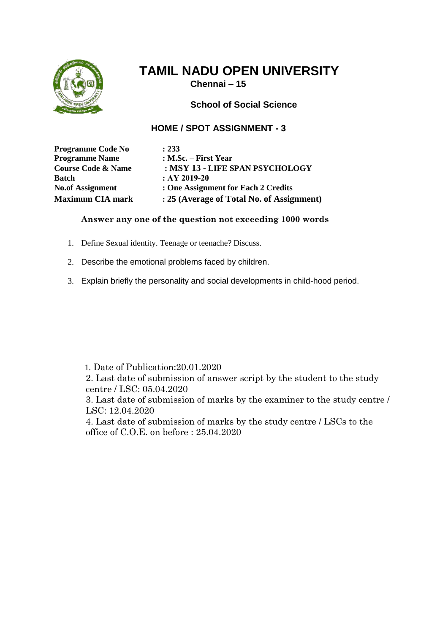

**Chennai – 15**

**School of Social Science**

#### **HOME / SPOT ASSIGNMENT - 3**

**Programme Code No : 233 Programme Name : M.Sc. – First Year Course Code & Name : MSY 13 - LIFE SPAN PSYCHOLOGY Batch : AY** 2019-20 **No.of Assignment : One Assignment for Each 2 Credits Maximum CIA mark : 25 (Average of Total No. of Assignment)**

#### **Answer any one of the question not exceeding 1000 words**

- 1. Define Sexual identity. Teenage or teenache? Discuss.
- 2. Describe the emotional problems faced by children.
- 3. Explain briefly the personality and social developments in child-hood period.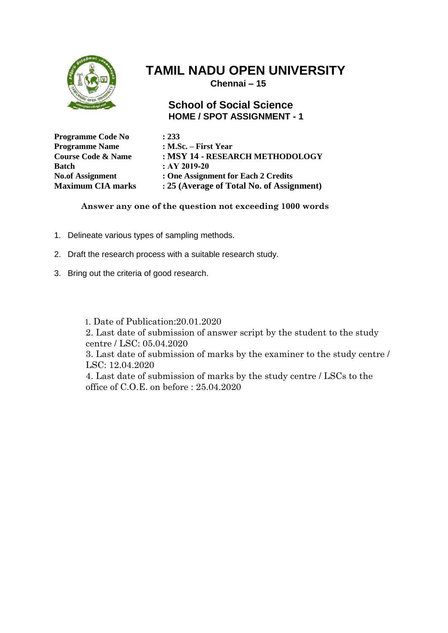

 **Chennai – 15**

#### **School of Social Science HOME / SPOT ASSIGNMENT - 1**

| <b>Programme Code No</b>      | : 233                                     |
|-------------------------------|-------------------------------------------|
| <b>Programme Name</b>         | : M.Sc. – First Year                      |
| <b>Course Code &amp; Name</b> | : MSY 14 - RESEARCH METHODOLOGY           |
| <b>Batch</b>                  | $:AY 2019-20$                             |
| <b>No.of Assignment</b>       | : One Assignment for Each 2 Credits       |
| <b>Maximum CIA marks</b>      | : 25 (Average of Total No. of Assignment) |

**Answer any one of the question not exceeding 1000 words**

- 1. Delineate various types of sampling methods.
- 2. Draft the research process with a suitable research study.
- 3. Bring out the criteria of good research.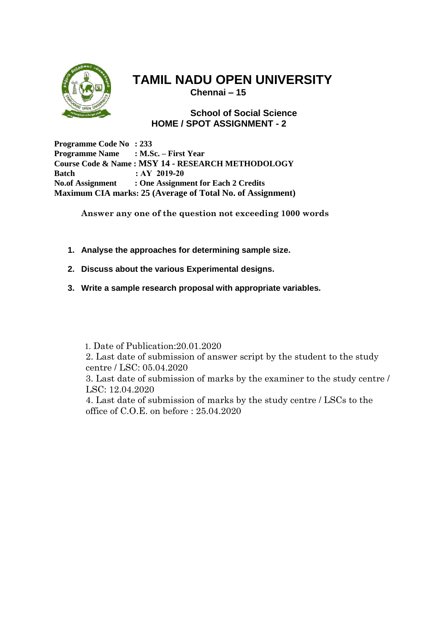

**Chennai – 15**

**School of Social Science HOME / SPOT ASSIGNMENT - 2**

**Programme Code No : 233 Programme Name : M.Sc. – First Year Course Code & Name : MSY 14 - RESEARCH METHODOLOGY Batch : AY 2019-20 No.of Assignment : One Assignment for Each 2 Credits Maximum CIA marks: 25 (Average of Total No. of Assignment)**

**Answer any one of the question not exceeding 1000 words**

- **1. Analyse the approaches for determining sample size.**
- **2. Discuss about the various Experimental designs.**
- **3. Write a sample research proposal with appropriate variables.**